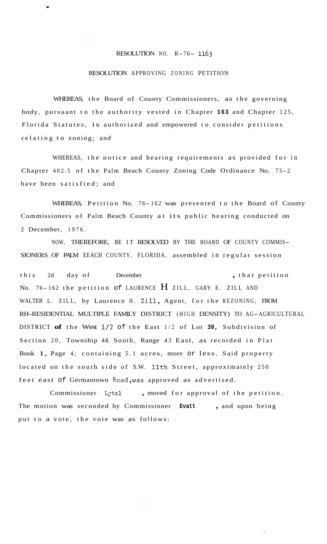## RESOLUTION NO. R-76- **<sup>1163</sup>**

## RESOLUTION APPROVING ZONING PETITION

**Y** 

WHEREAS, the Board of County Commissioners, as the governing body, pursuant to the authority vested in Chapter **163** and Chapter 125, Florida Statutes, is authorized and empowered to consider petitions relating to zoning; and

WHEREAS, the notice and hearing requirements as provided for in Chapter 402.5 of the Palm Beach County Zoning Code Ordinance No. 73-2 have been satisfied; and

WHEREAS, Petition No. 76-162 was presented to the Board of County Commissioners of Palm Beach County at its public hearing conducted on 2 December, 1976.

NOW, THEREFORE, BE IT RESOLVED BY THE BOARD OF COUNTY COMMIS-SIONERS OF PALM EEACH COUNTY, FLORIDA, assembled in regular session

this 2d day of December , that petition No. 76-162 the petition of LAURENCE  $H$  ZILL, GARY E. ZILL AND WALTER L. ZILL, by Laurence H. Zill, Agent, for the REZONING, FROM RH-RESIDENTIAL MULTIPLE FAMILY DISTRICT (HIGH DENSITY) TO AG-AGRICULTURAL DISTRICT **of** the West 1/2 of the East 1/2 of Lot **30,** Subdivision of Section 20, Township 46 South, Range 43 East, as recorded in Plat Book 1, Page 4; containing 5.1 acres, more or less. Said property located on the south side of S.W. 11th Street, approximately 250 feet east of Germantown Road,was approved as advertised.

Commissioner Lytal , moved for approval of the petition. The motion was seconded by Commissioner **Evatt** , and upon being put to a vote, the vote was as follows: